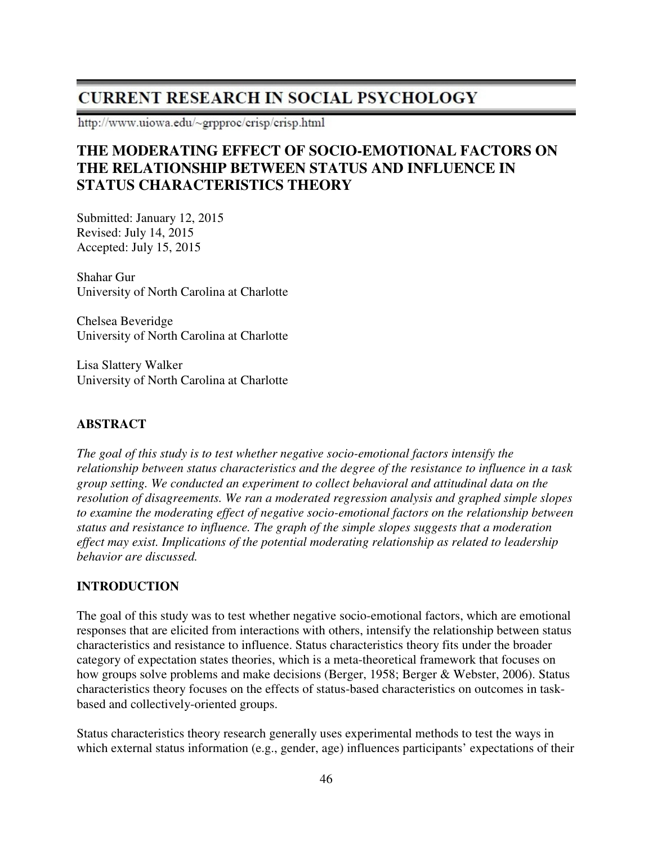# **CURRENT RESEARCH IN SOCIAL PSYCHOLOGY**

http://www.uiowa.edu/~grpproc/crisp/crisp.html

# **THE MODERATING EFFECT OF SOCIO-EMOTIONAL FACTORS ON THE RELATIONSHIP BETWEEN STATUS AND INFLUENCE IN STATUS CHARACTERISTICS THEORY**

Submitted: January 12, 2015 Revised: July 14, 2015 Accepted: July 15, 2015

Shahar Gur University of North Carolina at Charlotte

Chelsea Beveridge University of North Carolina at Charlotte

Lisa Slattery Walker University of North Carolina at Charlotte

# **ABSTRACT**

*The goal of this study is to test whether negative socio-emotional factors intensify the relationship between status characteristics and the degree of the resistance to influence in a task group setting. We conducted an experiment to collect behavioral and attitudinal data on the resolution of disagreements. We ran a moderated regression analysis and graphed simple slopes to examine the moderating effect of negative socio-emotional factors on the relationship between status and resistance to influence. The graph of the simple slopes suggests that a moderation effect may exist. Implications of the potential moderating relationship as related to leadership behavior are discussed.* 

#### **INTRODUCTION**

The goal of this study was to test whether negative socio-emotional factors, which are emotional responses that are elicited from interactions with others, intensify the relationship between status characteristics and resistance to influence. Status characteristics theory fits under the broader category of expectation states theories, which is a meta-theoretical framework that focuses on how groups solve problems and make decisions (Berger, 1958; Berger & Webster, 2006). Status characteristics theory focuses on the effects of status-based characteristics on outcomes in taskbased and collectively-oriented groups.

Status characteristics theory research generally uses experimental methods to test the ways in which external status information (e.g., gender, age) influences participants' expectations of their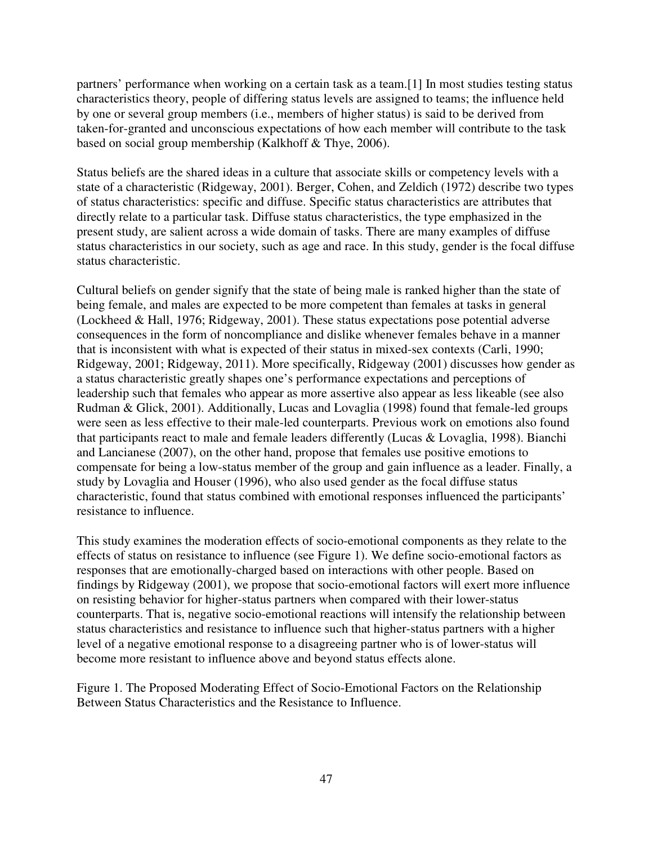partners' performance when working on a certain task as a team.[1] In most studies testing status characteristics theory, people of differing status levels are assigned to teams; the influence held by one or several group members (i.e., members of higher status) is said to be derived from taken-for-granted and unconscious expectations of how each member will contribute to the task based on social group membership (Kalkhoff & Thye, 2006).

Status beliefs are the shared ideas in a culture that associate skills or competency levels with a state of a characteristic (Ridgeway, 2001). Berger, Cohen, and Zeldich (1972) describe two types of status characteristics: specific and diffuse. Specific status characteristics are attributes that directly relate to a particular task. Diffuse status characteristics, the type emphasized in the present study, are salient across a wide domain of tasks. There are many examples of diffuse status characteristics in our society, such as age and race. In this study, gender is the focal diffuse status characteristic.

Cultural beliefs on gender signify that the state of being male is ranked higher than the state of being female, and males are expected to be more competent than females at tasks in general (Lockheed & Hall, 1976; Ridgeway, 2001). These status expectations pose potential adverse consequences in the form of noncompliance and dislike whenever females behave in a manner that is inconsistent with what is expected of their status in mixed-sex contexts (Carli, 1990; Ridgeway, 2001; Ridgeway, 2011). More specifically, Ridgeway (2001) discusses how gender as a status characteristic greatly shapes one's performance expectations and perceptions of leadership such that females who appear as more assertive also appear as less likeable (see also Rudman & Glick, 2001). Additionally, Lucas and Lovaglia (1998) found that female-led groups were seen as less effective to their male-led counterparts. Previous work on emotions also found that participants react to male and female leaders differently (Lucas & Lovaglia, 1998). Bianchi and Lancianese (2007), on the other hand, propose that females use positive emotions to compensate for being a low-status member of the group and gain influence as a leader. Finally, a study by Lovaglia and Houser (1996), who also used gender as the focal diffuse status characteristic, found that status combined with emotional responses influenced the participants' resistance to influence.

This study examines the moderation effects of socio-emotional components as they relate to the effects of status on resistance to influence (see Figure 1). We define socio-emotional factors as responses that are emotionally-charged based on interactions with other people. Based on findings by Ridgeway (2001), we propose that socio-emotional factors will exert more influence on resisting behavior for higher-status partners when compared with their lower-status counterparts. That is, negative socio-emotional reactions will intensify the relationship between status characteristics and resistance to influence such that higher-status partners with a higher level of a negative emotional response to a disagreeing partner who is of lower-status will become more resistant to influence above and beyond status effects alone.

Figure 1. The Proposed Moderating Effect of Socio-Emotional Factors on the Relationship Between Status Characteristics and the Resistance to Influence.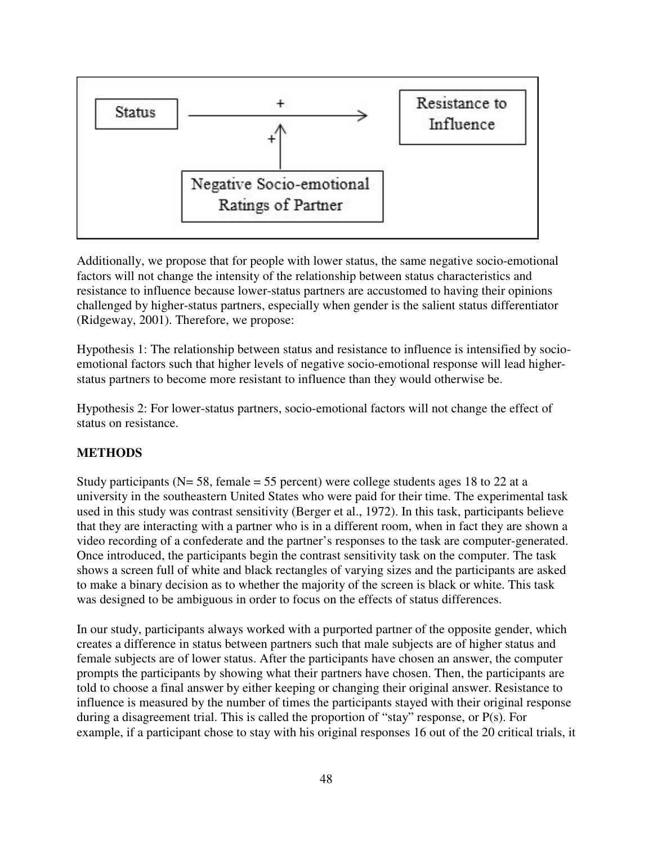

Additionally, we propose that for people with lower status, the same negative socio-emotional factors will not change the intensity of the relationship between status characteristics and resistance to influence because lower-status partners are accustomed to having their opinions challenged by higher-status partners, especially when gender is the salient status differentiator (Ridgeway, 2001). Therefore, we propose:

Hypothesis 1: The relationship between status and resistance to influence is intensified by socioemotional factors such that higher levels of negative socio-emotional response will lead higherstatus partners to become more resistant to influence than they would otherwise be.

Hypothesis 2: For lower-status partners, socio-emotional factors will not change the effect of status on resistance.

# **METHODS**

Study participants ( $N = 58$ , female = 55 percent) were college students ages 18 to 22 at a university in the southeastern United States who were paid for their time. The experimental task used in this study was contrast sensitivity (Berger et al., 1972). In this task, participants believe that they are interacting with a partner who is in a different room, when in fact they are shown a video recording of a confederate and the partner's responses to the task are computer-generated. Once introduced, the participants begin the contrast sensitivity task on the computer. The task shows a screen full of white and black rectangles of varying sizes and the participants are asked to make a binary decision as to whether the majority of the screen is black or white. This task was designed to be ambiguous in order to focus on the effects of status differences.

In our study, participants always worked with a purported partner of the opposite gender, which creates a difference in status between partners such that male subjects are of higher status and female subjects are of lower status. After the participants have chosen an answer, the computer prompts the participants by showing what their partners have chosen. Then, the participants are told to choose a final answer by either keeping or changing their original answer. Resistance to influence is measured by the number of times the participants stayed with their original response during a disagreement trial. This is called the proportion of "stay" response, or P(s). For example, if a participant chose to stay with his original responses 16 out of the 20 critical trials, it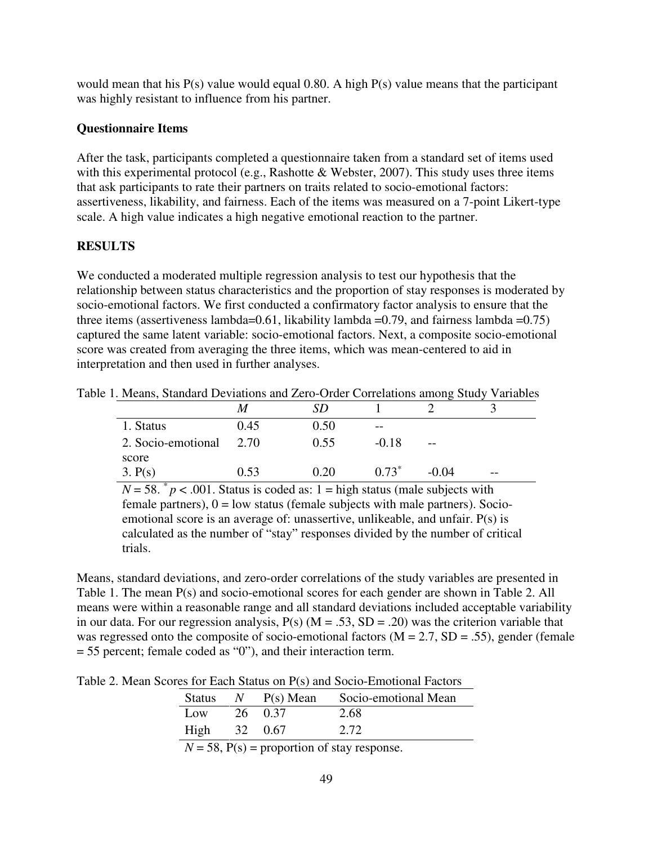would mean that his P(s) value would equal 0.80. A high P(s) value means that the participant was highly resistant to influence from his partner.

#### **Questionnaire Items**

After the task, participants completed a questionnaire taken from a standard set of items used with this experimental protocol (e.g., Rashotte & Webster, 2007). This study uses three items that ask participants to rate their partners on traits related to socio-emotional factors: assertiveness, likability, and fairness. Each of the items was measured on a 7-point Likert-type scale. A high value indicates a high negative emotional reaction to the partner.

# **RESULTS**

We conducted a moderated multiple regression analysis to test our hypothesis that the relationship between status characteristics and the proportion of stay responses is moderated by socio-emotional factors. We first conducted a confirmatory factor analysis to ensure that the three items (assertiveness lambda=0.61, likability lambda =0.79, and fairness lambda =0.75) captured the same latent variable: socio-emotional factors. Next, a composite socio-emotional score was created from averaging the three items, which was mean-centered to aid in interpretation and then used in further analyses.

| Table 1. Means, Standard Deviations and Zero-Order Correlations among Study Variables |      |      |         |         |  |
|---------------------------------------------------------------------------------------|------|------|---------|---------|--|
|                                                                                       |      |      |         |         |  |
| 1. Status                                                                             | 0.45 | 0.50 | $- -$   |         |  |
| 2. Socio-emotional 2.70                                                               |      | 0.55 | $-0.18$ |         |  |
| score<br>3. P(s)                                                                      | 0.53 | 0.20 | $0.73*$ | $-0.04$ |  |

 $N = 58$ .  $p < .001$ . Status is coded as: 1 = high status (male subjects with female partners),  $0 =$  low status (female subjects with male partners). Socioemotional score is an average of: unassertive, unlikeable, and unfair. P(s) is calculated as the number of "stay" responses divided by the number of critical trials.

Means, standard deviations, and zero-order correlations of the study variables are presented in Table 1. The mean P(s) and socio-emotional scores for each gender are shown in Table 2. All means were within a reasonable range and all standard deviations included acceptable variability in our data. For our regression analysis,  $P(s)$  (M = .53, SD = .20) was the criterion variable that was regressed onto the composite of socio-emotional factors  $(M = 2.7, SD = .55)$ , gender (female = 55 percent; female coded as "0"), and their interaction term.

Table 2. Mean Scores for Each Status on P(s) and Socio-Emotional Factors

| <b>Status</b>   | $N$ P(s) Mean | Socio-emotional Mean |
|-----------------|---------------|----------------------|
| $_{\text{low}}$ | 26 0.37       | 2.68                 |
| High $32$ 0.67  |               | 2.72                 |

 $N = 58$ ,  $P(s) =$  proportion of stay response.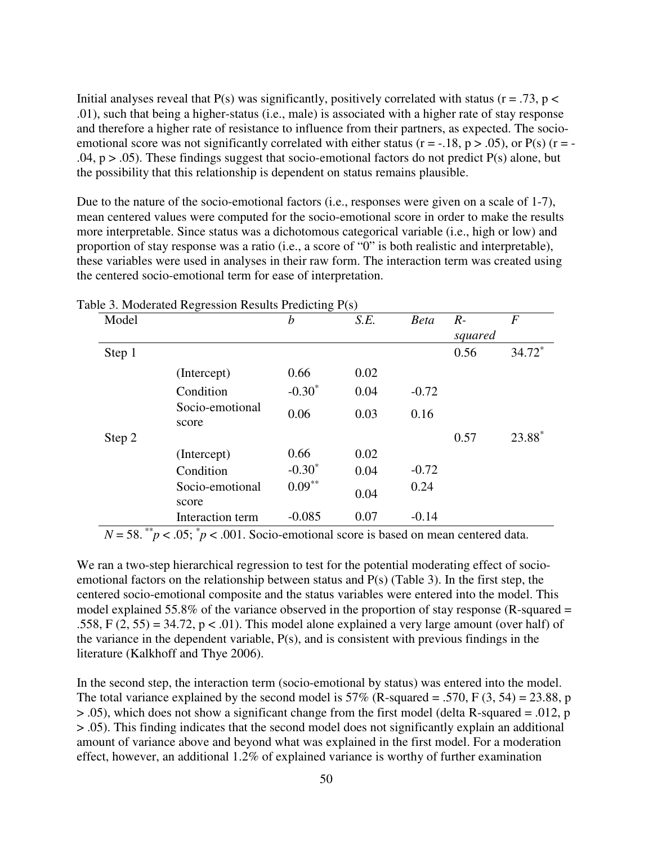Initial analyses reveal that  $P(s)$  was significantly, positively correlated with status ( $r = .73$ ,  $p <$ .01), such that being a higher-status (i.e., male) is associated with a higher rate of stay response and therefore a higher rate of resistance to influence from their partners, as expected. The socioemotional score was not significantly correlated with either status ( $r = -18$ ,  $p > .05$ ), or  $P(s)$  ( $r = -$ .04,  $p > .05$ ). These findings suggest that socio-emotional factors do not predict  $P(s)$  alone, but the possibility that this relationship is dependent on status remains plausible.

Due to the nature of the socio-emotional factors (i.e., responses were given on a scale of 1-7), mean centered values were computed for the socio-emotional score in order to make the results more interpretable. Since status was a dichotomous categorical variable (i.e., high or low) and proportion of stay response was a ratio (i.e., a score of "0" is both realistic and interpretable), these variables were used in analyses in their raw form. The interaction term was created using the centered socio-emotional term for ease of interpretation.

| Model  |                          | $\boldsymbol{b}$ | S.E. | <b>Beta</b> | $R-$    | $\boldsymbol{F}$ |
|--------|--------------------------|------------------|------|-------------|---------|------------------|
|        |                          |                  |      |             | squared |                  |
| Step 1 |                          |                  |      |             | 0.56    | $34.72*$         |
|        | (Intercept)              | 0.66             | 0.02 |             |         |                  |
|        | Condition                | $-0.30*$         | 0.04 | $-0.72$     |         |                  |
|        | Socio-emotional<br>score | 0.06             | 0.03 | 0.16        |         |                  |
| Step 2 |                          |                  |      |             | 0.57    | 23.88*           |
|        | (Intercept)              | 0.66             | 0.02 |             |         |                  |
|        | Condition                | $-0.30^*$        | 0.04 | $-0.72$     |         |                  |
|        | Socio-emotional<br>score | $0.09***$        | 0.04 | 0.24        |         |                  |
|        | Interaction term         | $-0.085$         | 0.07 | $-0.14$     |         |                  |

Table 3. Moderated Regression Results Predicting P(s)

 $N = 58.^{*}p < .05;$   $p < .001$ . Socio-emotional score is based on mean centered data.

We ran a two-step hierarchical regression to test for the potential moderating effect of socioemotional factors on the relationship between status and P(s) (Table 3). In the first step, the centered socio-emotional composite and the status variables were entered into the model. This model explained 55.8% of the variance observed in the proportion of stay response (R-squared = .558, F  $(2, 55) = 34.72$ , p < .01). This model alone explained a very large amount (over half) of the variance in the dependent variable, P(s), and is consistent with previous findings in the literature (Kalkhoff and Thye 2006).

In the second step, the interaction term (socio-emotional by status) was entered into the model. The total variance explained by the second model is  $57\%$  (R-squared = .570, F (3, 54) = 23.88, p > .05), which does not show a significant change from the first model (delta R-squared = .012, p > .05). This finding indicates that the second model does not significantly explain an additional amount of variance above and beyond what was explained in the first model. For a moderation effect, however, an additional 1.2% of explained variance is worthy of further examination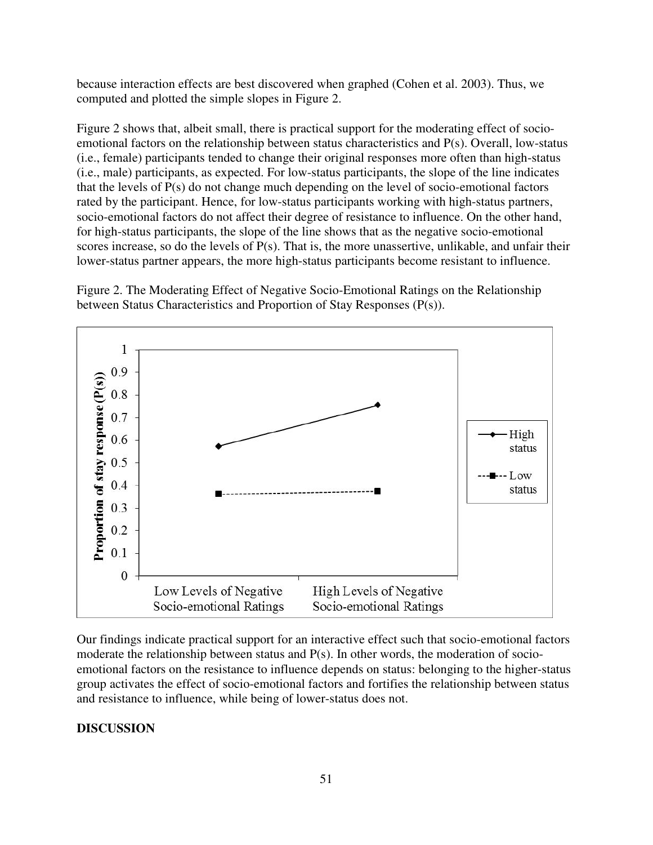because interaction effects are best discovered when graphed (Cohen et al. 2003). Thus, we computed and plotted the simple slopes in Figure 2.

Figure 2 shows that, albeit small, there is practical support for the moderating effect of socioemotional factors on the relationship between status characteristics and P(s). Overall, low-status (i.e., female) participants tended to change their original responses more often than high-status (i.e., male) participants, as expected. For low-status participants, the slope of the line indicates that the levels of P(s) do not change much depending on the level of socio-emotional factors rated by the participant. Hence, for low-status participants working with high-status partners, socio-emotional factors do not affect their degree of resistance to influence. On the other hand, for high-status participants, the slope of the line shows that as the negative socio-emotional scores increase, so do the levels of P(s). That is, the more unassertive, unlikable, and unfair their lower-status partner appears, the more high-status participants become resistant to influence.

Figure 2. The Moderating Effect of Negative Socio-Emotional Ratings on the Relationship between Status Characteristics and Proportion of Stay Responses (P(s)).



Our findings indicate practical support for an interactive effect such that socio-emotional factors moderate the relationship between status and P(s). In other words, the moderation of socioemotional factors on the resistance to influence depends on status: belonging to the higher-status group activates the effect of socio-emotional factors and fortifies the relationship between status and resistance to influence, while being of lower-status does not.

# **DISCUSSION**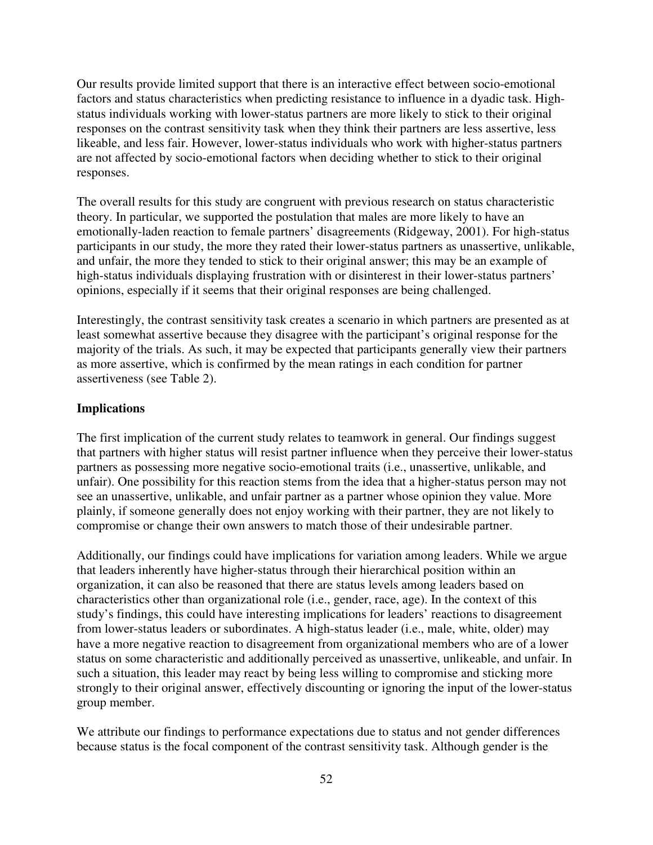Our results provide limited support that there is an interactive effect between socio-emotional factors and status characteristics when predicting resistance to influence in a dyadic task. Highstatus individuals working with lower-status partners are more likely to stick to their original responses on the contrast sensitivity task when they think their partners are less assertive, less likeable, and less fair. However, lower-status individuals who work with higher-status partners are not affected by socio-emotional factors when deciding whether to stick to their original responses.

The overall results for this study are congruent with previous research on status characteristic theory. In particular, we supported the postulation that males are more likely to have an emotionally-laden reaction to female partners' disagreements (Ridgeway, 2001). For high-status participants in our study, the more they rated their lower-status partners as unassertive, unlikable, and unfair, the more they tended to stick to their original answer; this may be an example of high-status individuals displaying frustration with or disinterest in their lower-status partners' opinions, especially if it seems that their original responses are being challenged.

Interestingly, the contrast sensitivity task creates a scenario in which partners are presented as at least somewhat assertive because they disagree with the participant's original response for the majority of the trials. As such, it may be expected that participants generally view their partners as more assertive, which is confirmed by the mean ratings in each condition for partner assertiveness (see Table 2).

#### **Implications**

The first implication of the current study relates to teamwork in general. Our findings suggest that partners with higher status will resist partner influence when they perceive their lower-status partners as possessing more negative socio-emotional traits (i.e., unassertive, unlikable, and unfair). One possibility for this reaction stems from the idea that a higher-status person may not see an unassertive, unlikable, and unfair partner as a partner whose opinion they value. More plainly, if someone generally does not enjoy working with their partner, they are not likely to compromise or change their own answers to match those of their undesirable partner.

Additionally, our findings could have implications for variation among leaders. While we argue that leaders inherently have higher-status through their hierarchical position within an organization, it can also be reasoned that there are status levels among leaders based on characteristics other than organizational role (i.e., gender, race, age). In the context of this study's findings, this could have interesting implications for leaders' reactions to disagreement from lower-status leaders or subordinates. A high-status leader (i.e., male, white, older) may have a more negative reaction to disagreement from organizational members who are of a lower status on some characteristic and additionally perceived as unassertive, unlikeable, and unfair. In such a situation, this leader may react by being less willing to compromise and sticking more strongly to their original answer, effectively discounting or ignoring the input of the lower-status group member.

We attribute our findings to performance expectations due to status and not gender differences because status is the focal component of the contrast sensitivity task. Although gender is the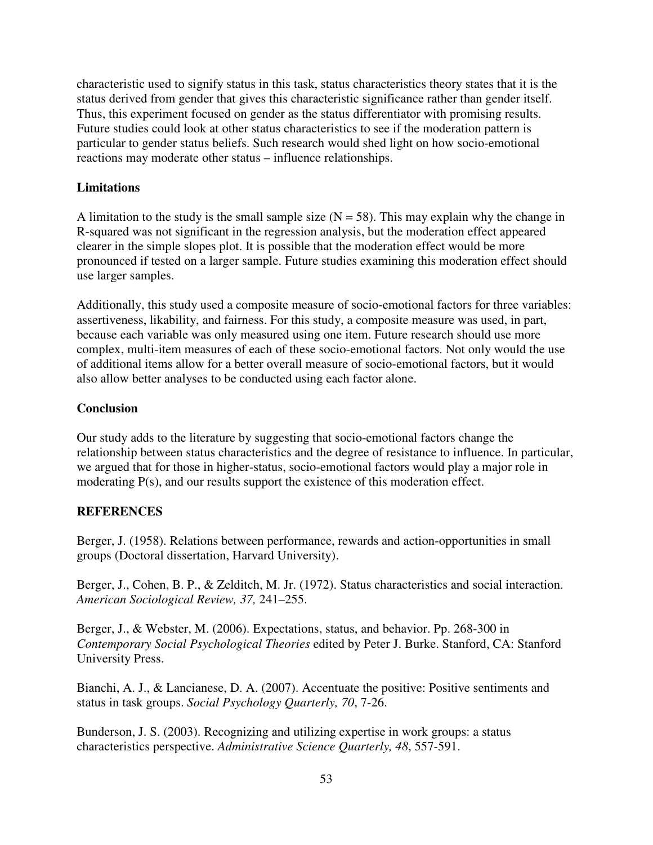characteristic used to signify status in this task, status characteristics theory states that it is the status derived from gender that gives this characteristic significance rather than gender itself. Thus, this experiment focused on gender as the status differentiator with promising results. Future studies could look at other status characteristics to see if the moderation pattern is particular to gender status beliefs. Such research would shed light on how socio-emotional reactions may moderate other status – influence relationships.

#### **Limitations**

A limitation to the study is the small sample size  $(N = 58)$ . This may explain why the change in R-squared was not significant in the regression analysis, but the moderation effect appeared clearer in the simple slopes plot. It is possible that the moderation effect would be more pronounced if tested on a larger sample. Future studies examining this moderation effect should use larger samples.

Additionally, this study used a composite measure of socio-emotional factors for three variables: assertiveness, likability, and fairness. For this study, a composite measure was used, in part, because each variable was only measured using one item. Future research should use more complex, multi-item measures of each of these socio-emotional factors. Not only would the use of additional items allow for a better overall measure of socio-emotional factors, but it would also allow better analyses to be conducted using each factor alone.

#### **Conclusion**

Our study adds to the literature by suggesting that socio-emotional factors change the relationship between status characteristics and the degree of resistance to influence. In particular, we argued that for those in higher-status, socio-emotional factors would play a major role in moderating P(s), and our results support the existence of this moderation effect.

# **REFERENCES**

Berger, J. (1958). Relations between performance, rewards and action-opportunities in small groups (Doctoral dissertation, Harvard University).

Berger, J., Cohen, B. P., & Zelditch, M. Jr. (1972). Status characteristics and social interaction. *American Sociological Review, 37,* 241–255.

Berger, J., & Webster, M. (2006). Expectations, status, and behavior. Pp. 268-300 in *Contemporary Social Psychological Theories* edited by Peter J. Burke. Stanford, CA: Stanford University Press.

Bianchi, A. J., & Lancianese, D. A. (2007). Accentuate the positive: Positive sentiments and status in task groups. *Social Psychology Quarterly, 70*, 7-26.

Bunderson, J. S. (2003). Recognizing and utilizing expertise in work groups: a status characteristics perspective. *Administrative Science Quarterly, 48*, 557-591.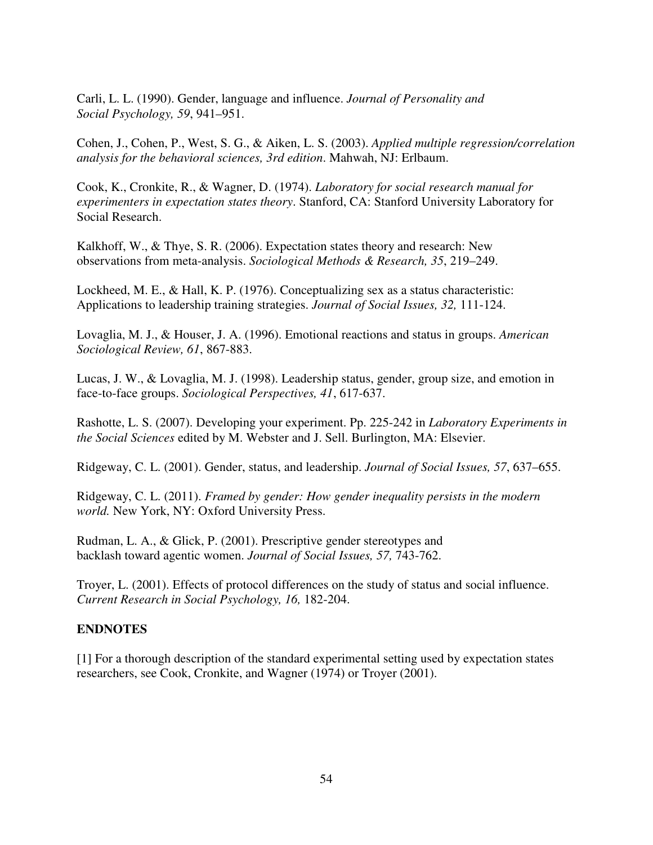Carli, L. L. (1990). Gender, language and influence. *Journal of Personality and Social Psychology, 59*, 941–951.

Cohen, J., Cohen, P., West, S. G., & Aiken, L. S. (2003). *Applied multiple regression/correlation analysis for the behavioral sciences, 3rd edition*. Mahwah, NJ: Erlbaum.

Cook, K., Cronkite, R., & Wagner, D. (1974). *Laboratory for social research manual for experimenters in expectation states theory*. Stanford, CA: Stanford University Laboratory for Social Research.

Kalkhoff, W., & Thye, S. R. (2006). Expectation states theory and research: New observations from meta-analysis. *Sociological Methods & Research, 35*, 219–249.

Lockheed, M. E., & Hall, K. P. (1976). Conceptualizing sex as a status characteristic: Applications to leadership training strategies. *Journal of Social Issues, 32,* 111-124.

Lovaglia, M. J., & Houser, J. A. (1996). Emotional reactions and status in groups. *American Sociological Review, 61*, 867-883.

Lucas, J. W., & Lovaglia, M. J. (1998). Leadership status, gender, group size, and emotion in face-to-face groups. *Sociological Perspectives, 41*, 617-637.

Rashotte, L. S. (2007). Developing your experiment. Pp. 225-242 in *Laboratory Experiments in the Social Sciences* edited by M. Webster and J. Sell. Burlington, MA: Elsevier.

Ridgeway, C. L. (2001). Gender, status, and leadership. *Journal of Social Issues, 57*, 637–655.

Ridgeway, C. L. (2011). *Framed by gender: How gender inequality persists in the modern world.* New York, NY: Oxford University Press.

Rudman, L. A., & Glick, P. (2001). Prescriptive gender stereotypes and backlash toward agentic women. *Journal of Social Issues, 57,* 743-762.

Troyer, L. (2001). Effects of protocol differences on the study of status and social influence. *Current Research in Social Psychology, 16,* 182-204.

#### **ENDNOTES**

[1] For a thorough description of the standard experimental setting used by expectation states researchers, see Cook, Cronkite, and Wagner (1974) or Troyer (2001).